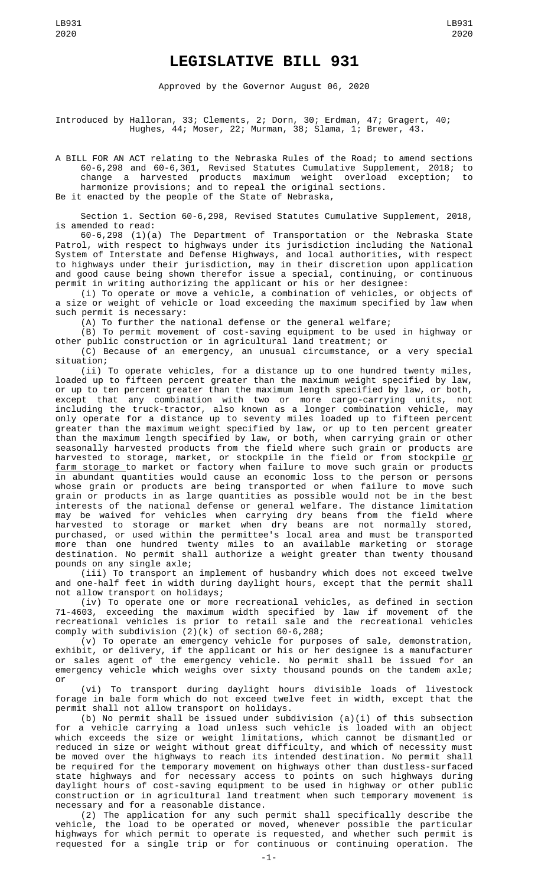## **LEGISLATIVE BILL 931**

Approved by the Governor August 06, 2020

Introduced by Halloran, 33; Clements, 2; Dorn, 30; Erdman, 47; Gragert, 40; Hughes, 44; Moser, 22; Murman, 38; Slama, 1; Brewer, 43.

A BILL FOR AN ACT relating to the Nebraska Rules of the Road; to amend sections 60-6,298 and 60-6,301, Revised Statutes Cumulative Supplement, 2018; to change a harvested products maximum weight overload exception; to harmonize provisions; and to repeal the original sections. Be it enacted by the people of the State of Nebraska,

Section 1. Section 60-6,298, Revised Statutes Cumulative Supplement, 2018, is amended to read:

60-6,298 (1)(a) The Department of Transportation or the Nebraska State Patrol, with respect to highways under its jurisdiction including the National System of Interstate and Defense Highways, and local authorities, with respect to highways under their jurisdiction, may in their discretion upon application and good cause being shown therefor issue a special, continuing, or continuous permit in writing authorizing the applicant or his or her designee:

(i) To operate or move a vehicle, a combination of vehicles, or objects of a size or weight of vehicle or load exceeding the maximum specified by law when such permit is necessary:

(A) To further the national defense or the general welfare;

(B) To permit movement of cost-saving equipment to be used in highway or other public construction or in agricultural land treatment; or

(C) Because of an emergency, an unusual circumstance, or a very special situation;

(ii) To operate vehicles, for a distance up to one hundred twenty miles, loaded up to fifteen percent greater than the maximum weight specified by law, or up to ten percent greater than the maximum length specified by law, or both, except that any combination with two or more cargo-carrying units, not including the truck-tractor, also known as a longer combination vehicle, may only operate for a distance up to seventy miles loaded up to fifteen percent greater than the maximum weight specified by law, or up to ten percent greater than the maximum length specified by law, or both, when carrying grain or other seasonally harvested products from the field where such grain or products are harvested to storage, market, or stockpile in the field or from stockpile <u>or</u> farm storage to market or factory when failure to move such grain or products in abundant quantities would cause an economic loss to the person or persons whose grain or products are being transported or when failure to move such grain or products in as large quantities as possible would not be in the best interests of the national defense or general welfare. The distance limitation may be waived for vehicles when carrying dry beans from the field where harvested to storage or market when dry beans are not normally stored, purchased, or used within the permittee's local area and must be transported more than one hundred twenty miles to an available marketing or storage destination. No permit shall authorize a weight greater than twenty thousand pounds on any single axle;

(iii) To transport an implement of husbandry which does not exceed twelve and one-half feet in width during daylight hours, except that the permit shall not allow transport on holidays;

(iv) To operate one or more recreational vehicles, as defined in section 71-4603, exceeding the maximum width specified by law if movement of the recreational vehicles is prior to retail sale and the recreational vehicles comply with subdivision (2)(k) of section 60-6,288;

(v) To operate an emergency vehicle for purposes of sale, demonstration, exhibit, or delivery, if the applicant or his or her designee is a manufacturer or sales agent of the emergency vehicle. No permit shall be issued for an emergency vehicle which weighs over sixty thousand pounds on the tandem axle; or

(vi) To transport during daylight hours divisible loads of livestock forage in bale form which do not exceed twelve feet in width, except that the permit shall not allow transport on holidays.

(b) No permit shall be issued under subdivision (a)(i) of this subsection for a vehicle carrying a load unless such vehicle is loaded with an object which exceeds the size or weight limitations, which cannot be dismantled or reduced in size or weight without great difficulty, and which of necessity must be moved over the highways to reach its intended destination. No permit shall be required for the temporary movement on highways other than dustless-surfaced state highways and for necessary access to points on such highways during daylight hours of cost-saving equipment to be used in highway or other public construction or in agricultural land treatment when such temporary movement is necessary and for a reasonable distance.

(2) The application for any such permit shall specifically describe the vehicle, the load to be operated or moved, whenever possible the particular highways for which permit to operate is requested, and whether such permit is requested for a single trip or for continuous or continuing operation. The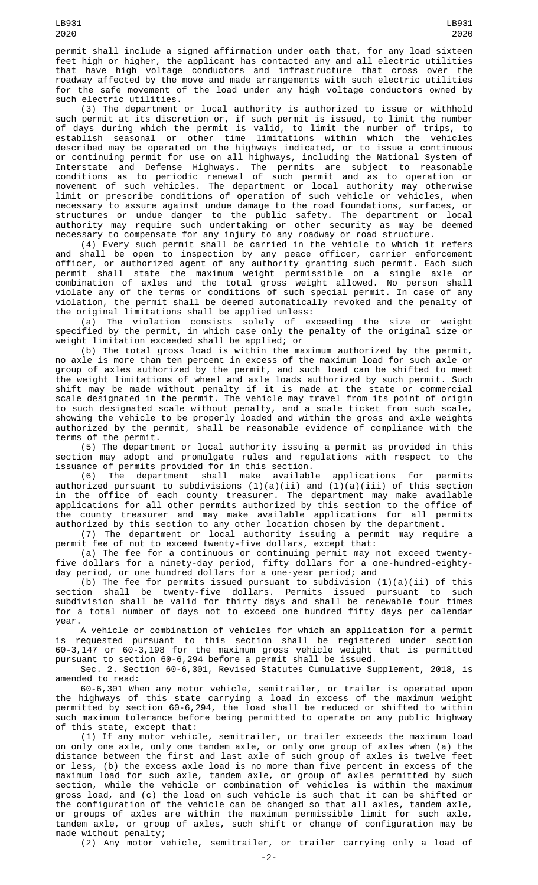permit shall include a signed affirmation under oath that, for any load sixteen feet high or higher, the applicant has contacted any and all electric utilities<br>that have high voltage conductors and infrastructure that cross over the that have high voltage conductors and infrastructure that cross over roadway affected by the move and made arrangements with such electric utilities for the safe movement of the load under any high voltage conductors owned by such electric utilities.

(3) The department or local authority is authorized to issue or withhold such permit at its discretion or, if such permit is issued, to limit the number of days during which the permit is valid, to limit the number of trips, to establish seasonal or other time limitations within which the vehicles described may be operated on the highways indicated, or to issue a continuous or continuing permit for use on all highways, including the National System of Interstate and Defense Highways. The permits are subject to reasonable conditions as to periodic renewal of such permit and as to operation or movement of such vehicles. The department or local authority may otherwise limit or prescribe conditions of operation of such vehicle or vehicles, when necessary to assure against undue damage to the road foundations, surfaces, or structures or undue danger to the public safety. The department or local authority may require such undertaking or other security as may be deemed necessary to compensate for any injury to any roadway or road structure.

(4) Every such permit shall be carried in the vehicle to which it refers and shall be open to inspection by any peace officer, carrier enforcement officer, or authorized agent of any authority granting such permit. Each such permit shall state the maximum weight permissible on a single axle or combination of axles and the total gross weight allowed. No person shall violate any of the terms or conditions of such special permit. In case of any violation, the permit shall be deemed automatically revoked and the penalty of the original limitations shall be applied unless:

(a) The violation consists solely of exceeding the size or weight specified by the permit, in which case only the penalty of the original size or weight limitation exceeded shall be applied; or

(b) The total gross load is within the maximum authorized by the permit, no axle is more than ten percent in excess of the maximum load for such axle or group of axles authorized by the permit, and such load can be shifted to meet the weight limitations of wheel and axle loads authorized by such permit. Such shift may be made without penalty if it is made at the state or commercial scale designated in the permit. The vehicle may travel from its point of origin to such designated scale without penalty, and a scale ticket from such scale, showing the vehicle to be properly loaded and within the gross and axle weights authorized by the permit, shall be reasonable evidence of compliance with the terms of the permit.

(5) The department or local authority issuing a permit as provided in this section may adopt and promulgate rules and regulations with respect to the issuance of permits provided for in this section.<br>(6) The department shall make available

(6) The department shall make available applications for permits authorized pursuant to subdivisions (1)(a)(ii) and (1)(a)(iii) of this section in the office of each county treasurer. The department may make available applications for all other permits authorized by this section to the office of the county treasurer and may make available applications for all permits authorized by this section to any other location chosen by the department.

(7) The department or local authority issuing a permit may require a permit fee of not to exceed twenty-five dollars, except that:

(a) The fee for a continuous or continuing permit may not exceed twentyfive dollars for a ninety-day period, fifty dollars for a one-hundred-eightyday period, or one hundred dollars for a one-year period; and

(b) The fee for permits issued pursuant to subdivision  $(1)(a)(ii)$  of this section shall be twenty-five dollars. Permits issued pursuant to such subdivision shall be valid for thirty days and shall be renewable four times for a total number of days not to exceed one hundred fifty days per calendar year.

A vehicle or combination of vehicles for which an application for a permit requested pursuant to this section shall be registered under section 60-3,147 or 60-3,198 for the maximum gross vehicle weight that is permitted pursuant to section 60-6,294 before a permit shall be issued.

Sec. 2. Section 60-6,301, Revised Statutes Cumulative Supplement, 2018, is amended to read:

60-6,301 When any motor vehicle, semitrailer, or trailer is operated upon the highways of this state carrying a load in excess of the maximum weight permitted by section 60-6,294, the load shall be reduced or shifted to within such maximum tolerance before being permitted to operate on any public highway of this state, except that:

(1) If any motor vehicle, semitrailer, or trailer exceeds the maximum load on only one axle, only one tandem axle, or only one group of axles when (a) the distance between the first and last axle of such group of axles is twelve feet or less, (b) the excess axle load is no more than five percent in excess of the maximum load for such axle, tandem axle, or group of axles permitted by such section, while the vehicle or combination of vehicles is within the maximum gross load, and (c) the load on such vehicle is such that it can be shifted or the configuration of the vehicle can be changed so that all axles, tandem axle, or groups of axles are within the maximum permissible limit for such axle, tandem axle, or group of axles, such shift or change of configuration may be made without penalty;

LB931 2020

(2) Any motor vehicle, semitrailer, or trailer carrying only a load of